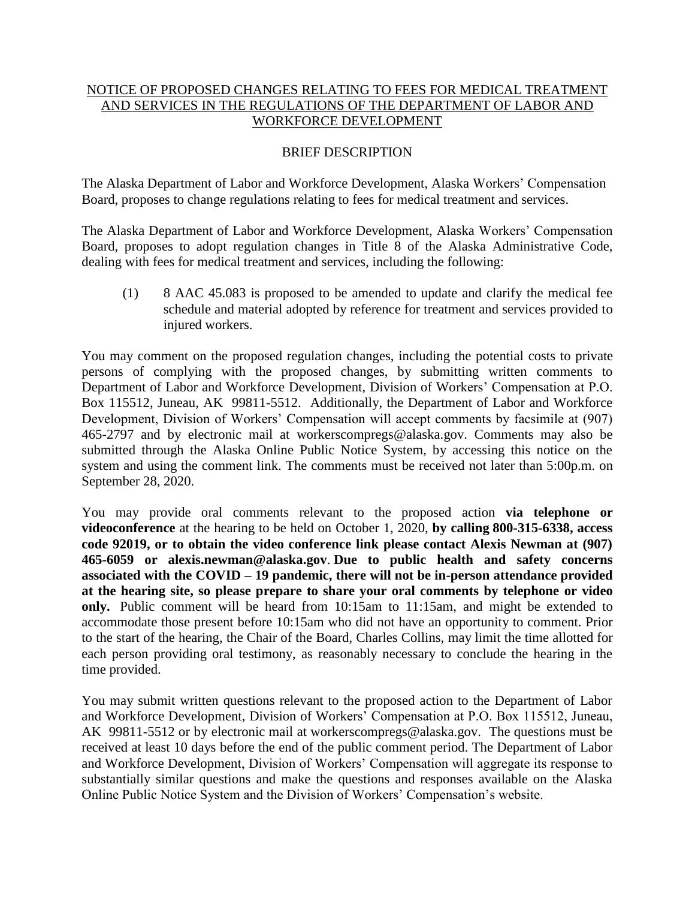## NOTICE OF PROPOSED CHANGES RELATING TO FEES FOR MEDICAL TREATMENT AND SERVICES IN THE REGULATIONS OF THE DEPARTMENT OF LABOR AND WORKFORCE DEVELOPMENT

## BRIEF DESCRIPTION

The Alaska Department of Labor and Workforce Development, Alaska Workers' Compensation Board, proposes to change regulations relating to fees for medical treatment and services.

The Alaska Department of Labor and Workforce Development, Alaska Workers' Compensation Board, proposes to adopt regulation changes in Title 8 of the Alaska Administrative Code, dealing with fees for medical treatment and services, including the following:

(1) 8 AAC 45.083 is proposed to be amended to update and clarify the medical fee schedule and material adopted by reference for treatment and services provided to injured workers.

You may comment on the proposed regulation changes, including the potential costs to private persons of complying with the proposed changes, by submitting written comments to Department of Labor and Workforce Development, Division of Workers' Compensation at P.O. Box 115512, Juneau, AK 99811-5512. Additionally, the Department of Labor and Workforce Development, Division of Workers' Compensation will accept comments by facsimile at (907) 465-2797 and by electronic mail at workerscompregs@alaska.gov. Comments may also be submitted through the Alaska Online Public Notice System, by accessing this notice on the system and using the comment link. The comments must be received not later than 5:00p.m. on September 28, 2020.

You may provide oral comments relevant to the proposed action **via telephone or videoconference** at the hearing to be held on October 1, 2020, **by calling 800-315-6338, access code 92019, or to obtain the video conference link please contact Alexis Newman at (907) 465-6059 or alexis.newman@alaska.gov**. **Due to public health and safety concerns associated with the COVID – 19 pandemic, there will not be in-person attendance provided at the hearing site, so please prepare to share your oral comments by telephone or video only.** Public comment will be heard from 10:15am to 11:15am, and might be extended to accommodate those present before 10:15am who did not have an opportunity to comment. Prior to the start of the hearing, the Chair of the Board, Charles Collins, may limit the time allotted for each person providing oral testimony, as reasonably necessary to conclude the hearing in the time provided.

You may submit written questions relevant to the proposed action to the Department of Labor and Workforce Development, Division of Workers' Compensation at P.O. Box 115512, Juneau, AK 99811-5512 or by electronic mail at workerscompregs@alaska.gov. The questions must be received at least 10 days before the end of the public comment period. The Department of Labor and Workforce Development, Division of Workers' Compensation will aggregate its response to substantially similar questions and make the questions and responses available on the Alaska Online Public Notice System and the Division of Workers' Compensation's website.